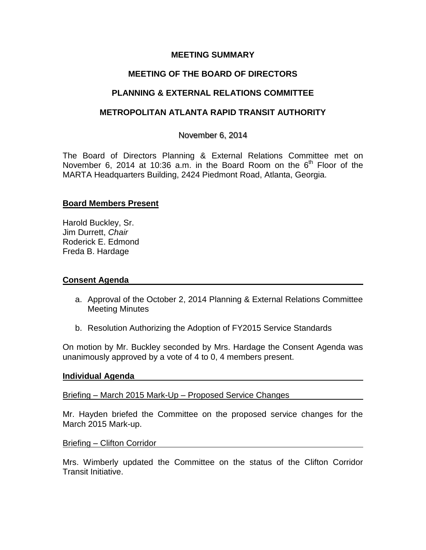## **MEETING SUMMARY**

# **MEETING OF THE BOARD OF DIRECTORS**

# **PLANNING & EXTERNAL RELATIONS COMMITTEE**

# **METROPOLITAN ATLANTA RAPID TRANSIT AUTHORITY**

## November 6, 2014

The Board of Directors Planning & External Relations Committee met on November 6, 2014 at 10:36 a.m. in the Board Room on the  $6<sup>th</sup>$  Floor of the MARTA Headquarters Building, 2424 Piedmont Road, Atlanta, Georgia.

# **Board Members Present**

Harold Buckley, Sr. Jim Durrett, *Chair* Roderick E. Edmond Freda B. Hardage

### **Consent Agenda**

- a. Approval of the October 2, 2014 Planning & External Relations Committee Meeting Minutes
- b. Resolution Authorizing the Adoption of FY2015 Service Standards

On motion by Mr. Buckley seconded by Mrs. Hardage the Consent Agenda was unanimously approved by a vote of 4 to 0, 4 members present.

### **Individual Agenda**

Briefing – March 2015 Mark-Up – Proposed Service Changes

Mr. Hayden briefed the Committee on the proposed service changes for the March 2015 Mark-up.

### Briefing – Clifton Corridor

Mrs. Wimberly updated the Committee on the status of the Clifton Corridor Transit Initiative.